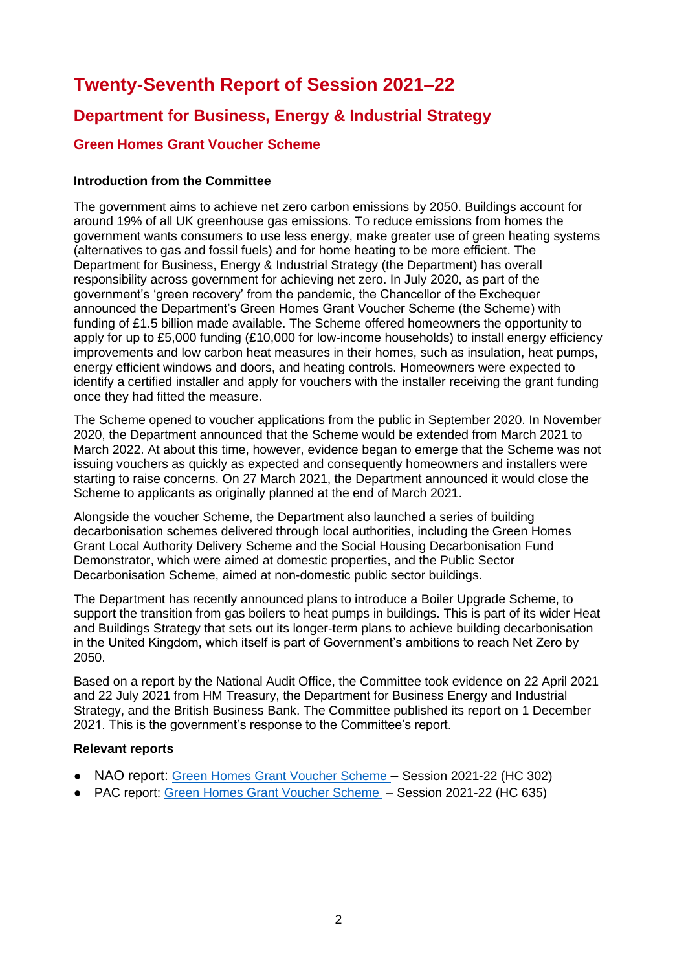# **Twenty-Seventh Report of Session 2021–22**

# **Department for Business, Energy & Industrial Strategy**

# **Green Homes Grant Voucher Scheme**

# **Introduction from the Committee**

The government aims to achieve net zero carbon emissions by 2050. Buildings account for around 19% of all UK greenhouse gas emissions. To reduce emissions from homes the government wants consumers to use less energy, make greater use of green heating systems (alternatives to gas and fossil fuels) and for home heating to be more efficient. The Department for Business, Energy & Industrial Strategy (the Department) has overall responsibility across government for achieving net zero. In July 2020, as part of the government's 'green recovery' from the pandemic, the Chancellor of the Exchequer announced the Department's Green Homes Grant Voucher Scheme (the Scheme) with funding of £1.5 billion made available. The Scheme offered homeowners the opportunity to apply for up to £5,000 funding (£10,000 for low-income households) to install energy efficiency improvements and low carbon heat measures in their homes, such as insulation, heat pumps, energy efficient windows and doors, and heating controls. Homeowners were expected to identify a certified installer and apply for vouchers with the installer receiving the grant funding once they had fitted the measure.

The Scheme opened to voucher applications from the public in September 2020. In November 2020, the Department announced that the Scheme would be extended from March 2021 to March 2022. At about this time, however, evidence began to emerge that the Scheme was not issuing vouchers as quickly as expected and consequently homeowners and installers were starting to raise concerns. On 27 March 2021, the Department announced it would close the Scheme to applicants as originally planned at the end of March 2021.

Alongside the voucher Scheme, the Department also launched a series of building decarbonisation schemes delivered through local authorities, including the Green Homes Grant Local Authority Delivery Scheme and the Social Housing Decarbonisation Fund Demonstrator, which were aimed at domestic properties, and the Public Sector Decarbonisation Scheme, aimed at non-domestic public sector buildings.

The Department has recently announced plans to introduce a Boiler Upgrade Scheme, to support the transition from gas boilers to heat pumps in buildings. This is part of its wider Heat and Buildings Strategy that sets out its longer-term plans to achieve building decarbonisation in the United Kingdom, which itself is part of Government's ambitions to reach Net Zero by 2050.

Based on a report by the National Audit Office, the Committee took evidence on 22 April 2021 and 22 July 2021 from HM Treasury, the Department for Business Energy and Industrial Strategy, and the British Business Bank. The Committee published its report on 1 December 2021. This is the government's response to the Committee's report.

# **Relevant reports**

- NAO report: [Green Homes Grant Voucher Scheme](https://www.nao.org.uk/wp-content/uploads/2021/09/Green-Homes-Grant-Voucher-Scheme.pdf) Session 2021-22 (HC 302)
- PAC report: [Green Homes Grant Voucher Scheme](https://committees.parliament.uk/publications/8007/documents/82623/default/) Session 2021-22 (HC 635)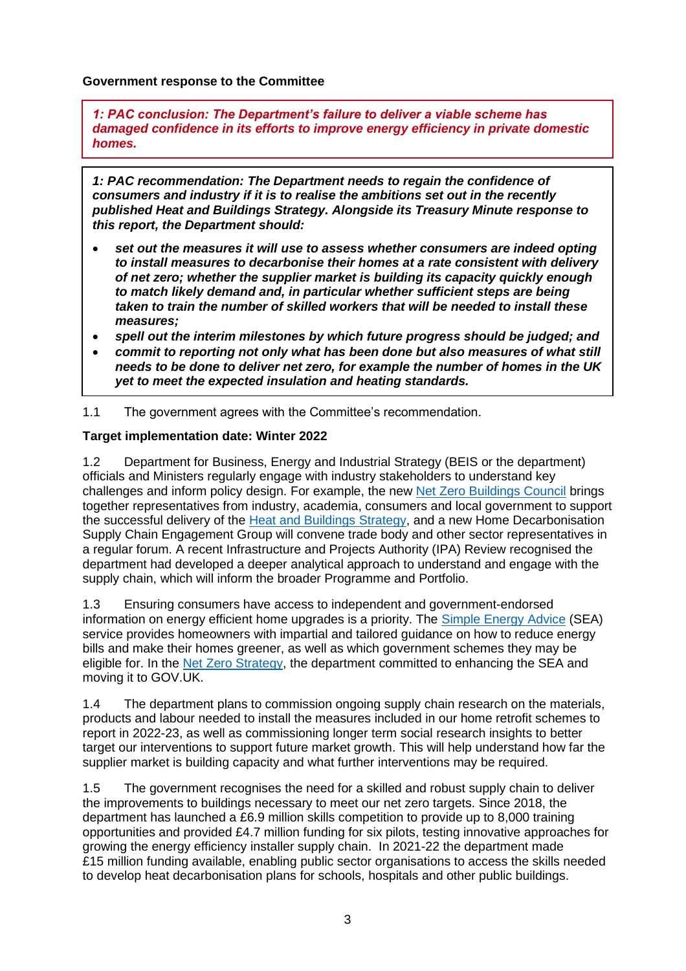#### **Government response to the Committee**

*1: PAC conclusion: The Department's failure to deliver a viable scheme has damaged confidence in its efforts to improve energy efficiency in private domestic homes.* 

*1: PAC recommendation: The Department needs to regain the confidence of consumers and industry if it is to realise the ambitions set out in the recently published Heat and Buildings Strategy. Alongside its Treasury Minute response to this report, the Department should:*

- *set out the measures it will use to assess whether consumers are indeed opting to install measures to decarbonise their homes at a rate consistent with delivery of net zero; whether the supplier market is building its capacity quickly enough to match likely demand and, in particular whether sufficient steps are being taken to train the number of skilled workers that will be needed to install these measures;*
- *spell out the interim milestones by which future progress should be judged; and*
- *commit to reporting not only what has been done but also measures of what still needs to be done to deliver net zero, for example the number of homes in the UK yet to meet the expected insulation and heating standards.*

1.1 The government agrees with the Committee's recommendation.

#### **Target implementation date: Winter 2022**

1.2 Department for Business, Energy and Industrial Strategy (BEIS or the department) officials and Ministers regularly engage with industry stakeholders to understand key challenges and inform policy design. For example, the new [Net Zero Buildings Council](https://www.gov.uk/government/groups/net-zero-buildings-council) brings together representatives from industry, academia, consumers and local government to support the successful delivery of the [Heat and Buildings Strategy,](https://www.gov.uk/government/publications/heat-and-buildings-strategy) and a new Home Decarbonisation Supply Chain Engagement Group will convene trade body and other sector representatives in a regular forum. A recent Infrastructure and Projects Authority (IPA) Review recognised the department had developed a deeper analytical approach to understand and engage with the supply chain, which will inform the broader Programme and Portfolio.

1.3 Ensuring consumers have access to independent and government-endorsed information on energy efficient home upgrades is a priority. The [Simple Energy Advice](https://www.simpleenergyadvice.org.uk/) (SEA) service provides homeowners with impartial and tailored guidance on how to reduce energy bills and make their homes greener, as well as which government schemes they may be eligible for. In the [Net Zero Strategy,](https://assets.publishing.service.gov.uk/government/uploads/system/uploads/attachment_data/file/1033990/net-zero-strategy-beis.pdf) the department committed to enhancing the SEA and moving it to GOV.UK.

1.4 The department plans to commission ongoing supply chain research on the materials, products and labour needed to install the measures included in our home retrofit schemes to report in 2022-23, as well as commissioning longer term social research insights to better target our interventions to support future market growth. This will help understand how far the supplier market is building capacity and what further interventions may be required.

1.5 The government recognises the need for a skilled and robust supply chain to deliver the improvements to buildings necessary to meet our net zero targets. Since 2018, the department has launched a £6.9 million skills competition to provide up to 8,000 training opportunities and provided £4.7 million funding for six pilots, testing innovative approaches for growing the energy efficiency installer supply chain. In 2021-22 the department made £15 million funding available, enabling public sector organisations to access the skills needed to develop heat decarbonisation plans for schools, hospitals and other public buildings.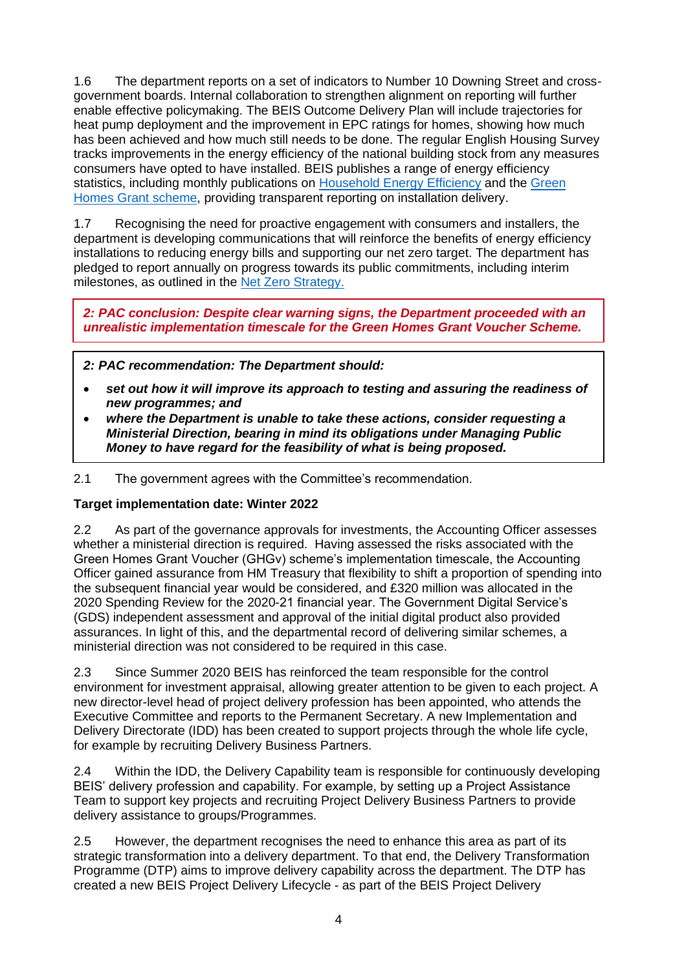1.6 The department reports on a set of indicators to Number 10 Downing Street and crossgovernment boards. Internal collaboration to strengthen alignment on reporting will further enable effective policymaking. The BEIS Outcome Delivery Plan will include trajectories for heat pump deployment and the improvement in EPC ratings for homes, showing how much has been achieved and how much still needs to be done. The regular English Housing Survey tracks improvements in the energy efficiency of the national building stock from any measures consumers have opted to have installed. BEIS publishes a range of energy efficiency statistics, including monthly publications on [Household Energy Efficiency](https://www.gov.uk/government/collections/household-energy-efficiency-national-statistics) and the Green [Homes Grant scheme,](https://www.gov.uk/government/collections/green-home-grant-statistics) providing transparent reporting on installation delivery.

1.7 Recognising the need for proactive engagement with consumers and installers, the department is developing communications that will reinforce the benefits of energy efficiency installations to reducing energy bills and supporting our net zero target. The department has pledged to report annually on progress towards its public commitments, including interim milestones, as outlined in the [Net Zero Strategy.](https://assets.publishing.service.gov.uk/government/uploads/system/uploads/attachment_data/file/1033990/net-zero-strategy-beis.pdf)

*2: PAC conclusion: Despite clear warning signs, the Department proceeded with an unrealistic implementation timescale for the Green Homes Grant Voucher Scheme.*

*2: PAC recommendation: The Department should:*

- *set out how it will improve its approach to testing and assuring the readiness of new programmes; and*
- *where the Department is unable to take these actions, consider requesting a Ministerial Direction, bearing in mind its obligations under Managing Public Money to have regard for the feasibility of what is being proposed.*

2.1 The government agrees with the Committee's recommendation.

#### **Target implementation date: Winter 2022**

2.2 As part of the governance approvals for investments, the Accounting Officer assesses whether a ministerial direction is required. Having assessed the risks associated with the Green Homes Grant Voucher (GHGv) scheme's implementation timescale, the Accounting Officer gained assurance from HM Treasury that flexibility to shift a proportion of spending into the subsequent financial year would be considered, and £320 million was allocated in the 2020 Spending Review for the 2020-21 financial year. The Government Digital Service's (GDS) independent assessment and approval of the initial digital product also provided assurances. In light of this, and the departmental record of delivering similar schemes, a ministerial direction was not considered to be required in this case.

2.3 Since Summer 2020 BEIS has reinforced the team responsible for the control environment for investment appraisal, allowing greater attention to be given to each project. A new director-level head of project delivery profession has been appointed, who attends the Executive Committee and reports to the Permanent Secretary. A new Implementation and Delivery Directorate (IDD) has been created to support projects through the whole life cycle, for example by recruiting Delivery Business Partners.

2.4 Within the IDD, the Delivery Capability team is responsible for continuously developing BEIS' delivery profession and capability. For example, by setting up a Project Assistance Team to support key projects and recruiting Project Delivery Business Partners to provide delivery assistance to groups/Programmes.

2.5 However, the department recognises the need to enhance this area as part of its strategic transformation into a delivery department. To that end, the Delivery Transformation Programme (DTP) aims to improve delivery capability across the department. The DTP has created a new BEIS Project Delivery Lifecycle - as part of the BEIS Project Delivery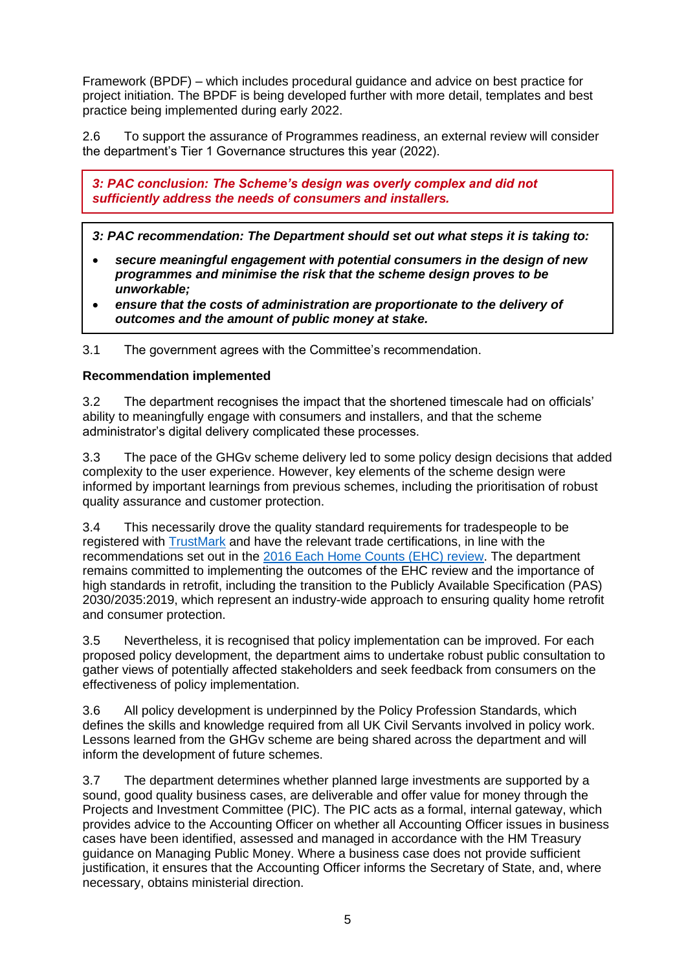Framework (BPDF) – which includes procedural guidance and advice on best practice for project initiation. The BPDF is being developed further with more detail, templates and best practice being implemented during early 2022.

2.6 To support the assurance of Programmes readiness, an external review will consider the department's Tier 1 Governance structures this year (2022).

*3: PAC conclusion: The Scheme's design was overly complex and did not sufficiently address the needs of consumers and installers.*

*3: PAC recommendation: The Department should set out what steps it is taking to:*

- *secure meaningful engagement with potential consumers in the design of new programmes and minimise the risk that the scheme design proves to be unworkable;*
- *ensure that the costs of administration are proportionate to the delivery of outcomes and the amount of public money at stake.*

3.1 The government agrees with the Committee's recommendation.

#### **Recommendation implemented**

3.2 The department recognises the impact that the shortened timescale had on officials' ability to meaningfully engage with consumers and installers, and that the scheme administrator's digital delivery complicated these processes.

3.3 The pace of the GHGv scheme delivery led to some policy design decisions that added complexity to the user experience. However, key elements of the scheme design were informed by important learnings from previous schemes, including the prioritisation of robust quality assurance and customer protection.

3.4 This necessarily drove the quality standard requirements for tradespeople to be registered with [TrustMark](https://www.trustmark.org.uk/) and have the relevant trade certifications, in line with the recommendations set out in the [2016 Each Home Counts \(EHC\) review.](https://assets.publishing.service.gov.uk/government/uploads/system/uploads/attachment_data/file/578749/Each_Home_Counts__December_2016_.pdf) The department remains committed to implementing the outcomes of the EHC review and the importance of high standards in retrofit, including the transition to the Publicly Available Specification (PAS) 2030/2035:2019, which represent an industry-wide approach to ensuring quality home retrofit and consumer protection.

3.5 Nevertheless, it is recognised that policy implementation can be improved. For each proposed policy development, the department aims to undertake robust public consultation to gather views of potentially affected stakeholders and seek feedback from consumers on the effectiveness of policy implementation.

3.6 All policy development is underpinned by the Policy Profession Standards, which defines the skills and knowledge required from all UK Civil Servants involved in policy work. Lessons learned from the GHGv scheme are being shared across the department and will inform the development of future schemes.

3.7 The department determines whether planned large investments are supported by a sound, good quality business cases, are deliverable and offer value for money through the Projects and Investment Committee (PIC). The PIC acts as a formal, internal gateway, which provides advice to the Accounting Officer on whether all Accounting Officer issues in business cases have been identified, assessed and managed in accordance with the HM Treasury guidance on Managing Public Money. Where a business case does not provide sufficient justification, it ensures that the Accounting Officer informs the Secretary of State, and, where necessary, obtains ministerial direction.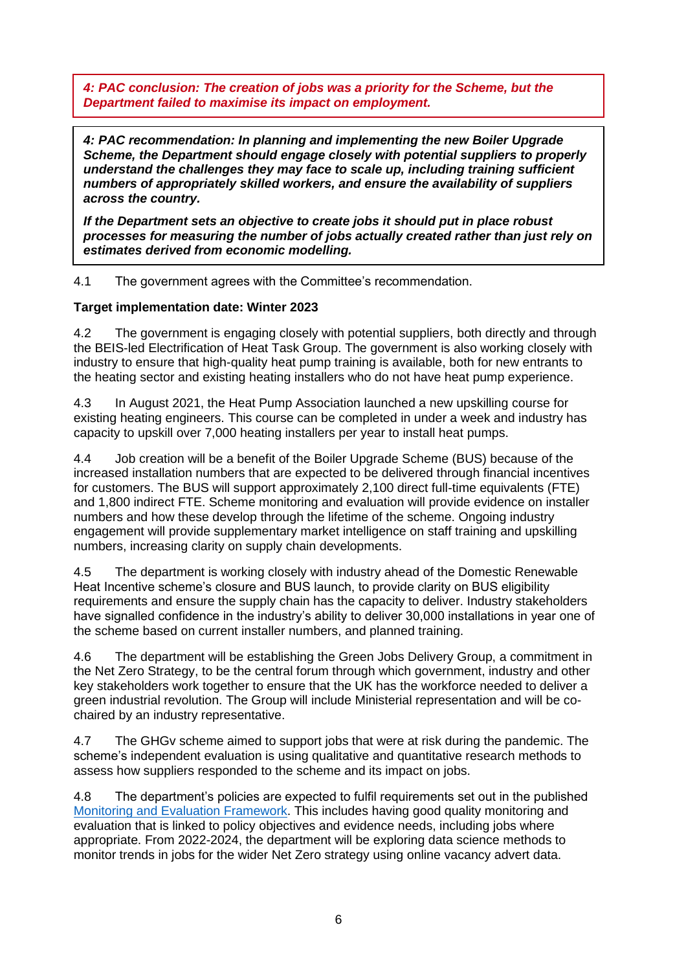*4: PAC conclusion: The creation of jobs was a priority for the Scheme, but the Department failed to maximise its impact on employment.*

*4: PAC recommendation: In planning and implementing the new Boiler Upgrade Scheme, the Department should engage closely with potential suppliers to properly understand the challenges they may face to scale up, including training sufficient numbers of appropriately skilled workers, and ensure the availability of suppliers across the country.*

*If the Department sets an objective to create jobs it should put in place robust processes for measuring the number of jobs actually created rather than just rely on estimates derived from economic modelling.*

4.1 The government agrees with the Committee's recommendation.

#### **Target implementation date: Winter 2023**

4.2 The government is engaging closely with potential suppliers, both directly and through the BEIS-led Electrification of Heat Task Group. The government is also working closely with industry to ensure that high-quality heat pump training is available, both for new entrants to the heating sector and existing heating installers who do not have heat pump experience.

4.3 In August 2021, the Heat Pump Association launched a new upskilling course for existing heating engineers. This course can be completed in under a week and industry has capacity to upskill over 7,000 heating installers per year to install heat pumps.

4.4 Job creation will be a benefit of the Boiler Upgrade Scheme (BUS) because of the increased installation numbers that are expected to be delivered through financial incentives for customers. The BUS will support approximately 2,100 direct full-time equivalents (FTE) and 1,800 indirect FTE. Scheme monitoring and evaluation will provide evidence on installer numbers and how these develop through the lifetime of the scheme. Ongoing industry engagement will provide supplementary market intelligence on staff training and upskilling numbers, increasing clarity on supply chain developments.

4.5 The department is working closely with industry ahead of the Domestic Renewable Heat Incentive scheme's closure and BUS launch, to provide clarity on BUS eligibility requirements and ensure the supply chain has the capacity to deliver. Industry stakeholders have signalled confidence in the industry's ability to deliver 30,000 installations in year one of the scheme based on current installer numbers, and planned training.

4.6 The department will be establishing the Green Jobs Delivery Group, a commitment in the Net Zero Strategy, to be the central forum through which government, industry and other key stakeholders work together to ensure that the UK has the workforce needed to deliver a green industrial revolution. The Group will include Ministerial representation and will be cochaired by an industry representative.

4.7 The GHGv scheme aimed to support jobs that were at risk during the pandemic. The scheme's independent evaluation is using qualitative and quantitative research methods to assess how suppliers responded to the scheme and its impact on jobs.

4.8 The department's policies are expected to fulfil requirements set out in the published [Monitoring and Evaluation Framework.](https://assets.publishing.service.gov.uk/government/uploads/system/uploads/attachment_data/file/947722/beis-monitoring-evaluation-framework.pdf) This includes having good quality monitoring and evaluation that is linked to policy objectives and evidence needs, including jobs where appropriate. From 2022-2024, the department will be exploring data science methods to monitor trends in jobs for the wider Net Zero strategy using online vacancy advert data.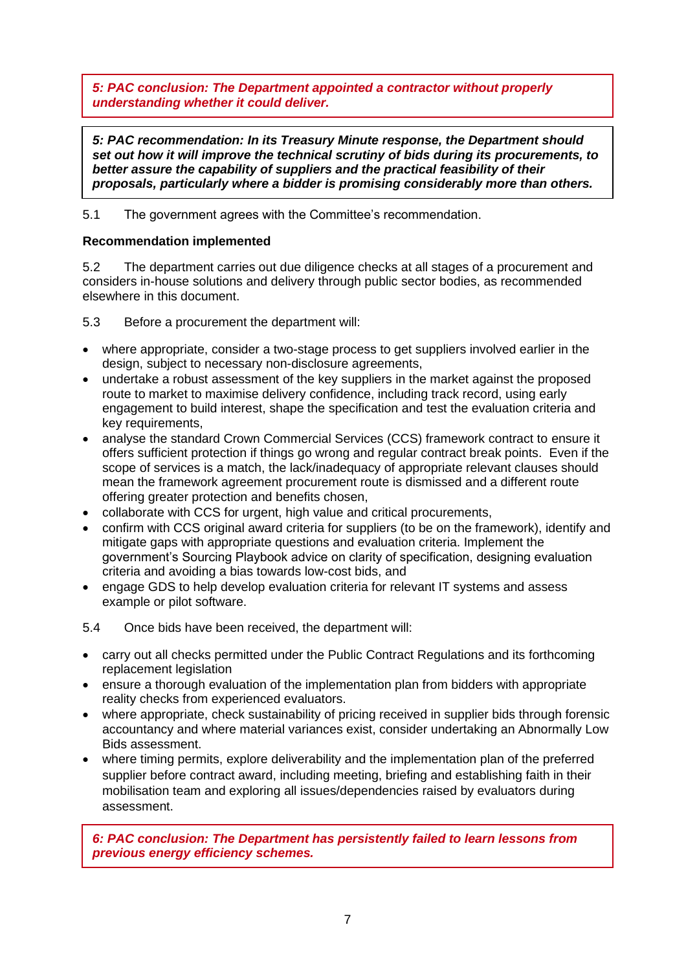*5: PAC conclusion: The Department appointed a contractor without properly understanding whether it could deliver.*

*5: PAC recommendation: In its Treasury Minute response, the Department should set out how it will improve the technical scrutiny of bids during its procurements, to better assure the capability of suppliers and the practical feasibility of their proposals, particularly where a bidder is promising considerably more than others.*

# 5.1 The government agrees with the Committee's recommendation.

# **Recommendation implemented**

5.2 The department carries out due diligence checks at all stages of a procurement and considers in-house solutions and delivery through public sector bodies, as recommended elsewhere in this document.

5.3 Before a procurement the department will:

- where appropriate, consider a two-stage process to get suppliers involved earlier in the design, subject to necessary non-disclosure agreements,
- undertake a robust assessment of the key suppliers in the market against the proposed route to market to maximise delivery confidence, including track record, using early engagement to build interest, shape the specification and test the evaluation criteria and key requirements,
- analyse the standard Crown Commercial Services (CCS) framework contract to ensure it offers sufficient protection if things go wrong and regular contract break points. Even if the scope of services is a match, the lack/inadequacy of appropriate relevant clauses should mean the framework agreement procurement route is dismissed and a different route offering greater protection and benefits chosen,
- collaborate with CCS for urgent, high value and critical procurements,
- confirm with CCS original award criteria for suppliers (to be on the framework), identify and mitigate gaps with appropriate questions and evaluation criteria. Implement the government's Sourcing Playbook advice on clarity of specification, designing evaluation criteria and avoiding a bias towards low-cost bids, and
- engage GDS to help develop evaluation criteria for relevant IT systems and assess example or pilot software.
- 5.4 Once bids have been received, the department will:
- carry out all checks permitted under the Public Contract Regulations and its forthcoming replacement legislation
- ensure a thorough evaluation of the implementation plan from bidders with appropriate reality checks from experienced evaluators.
- where appropriate, check sustainability of pricing received in supplier bids through forensic accountancy and where material variances exist, consider undertaking an Abnormally Low Bids assessment.
- where timing permits, explore deliverability and the implementation plan of the preferred supplier before contract award, including meeting, briefing and establishing faith in their mobilisation team and exploring all issues/dependencies raised by evaluators during assessment.

*6: PAC conclusion: The Department has persistently failed to learn lessons from previous energy efficiency schemes.*